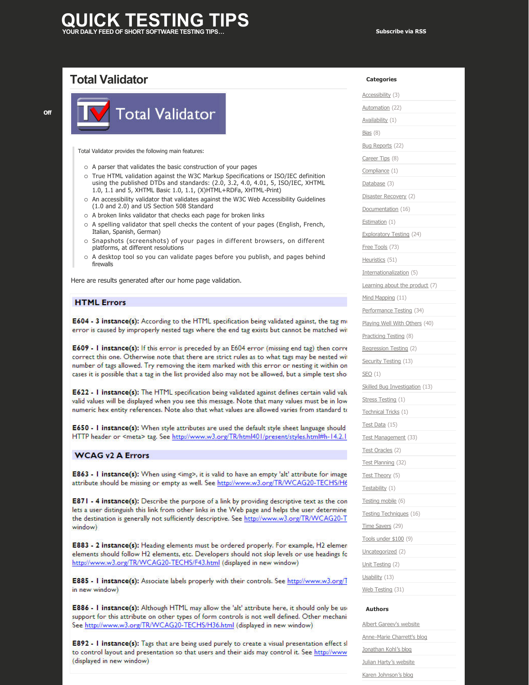## **JICK TESTING YOUR DAILY FEED OF SHORT SOFTWARE TESTING TIPS… [Subscribe via RSS](http://www.quicktestingtips.com/tips/feed/)**

# **[Total Validator](http://www.quicktestingtips.com/tips/2010/10/total-validator/)**



Total Validator provides the following main features:

- o A parser that validates the basic construction of your pages
- o True HTML validation against the W3C Markup Specifications or ISO/IEC definition using the published DTDs and standards: (2.0, 3.2, 4.0, 4.01, 5, ISO/IEC, XHTML 1.0, 1.1 and 5, XHTML Basic 1.0, 1.1, (X)HTML+RDFa, XHTML-Print)
- $\circ$  An accessibility validator that validates against the W3C Web Accessibility Guidelines (1.0 and 2.0) and US Section 508 Standard
- $\circ$  A broken links validator that checks each page for broken links
- $\circ$  A spelling validator that spell checks the content of your pages (English, French, Italian, Spanish, German)
- $\circ$  Snapshots (screenshots) of your pages in different browsers, on different platforms, at different resolutions
- o A desktop tool so you can validate pages before you publish, and pages behind firewalls

Here are results generated after our home page validation.

### **HTML Errors**

E604 - 3 instance(s): According to the HTML specification being validated against, the tag mi error is caused by improperly nested tags where the end tag exists but cannot be matched wit

E609 - I instance(s): If this error is preceded by an E604 error (missing end tag) then corre correct this one. Otherwise note that there are strict rules as to what tags may be nested wit number of tags allowed. Try removing the item marked with this error or nesting it within on cases it is possible that a tag in the list provided also may not be allowed, but a simple test sho

E622 - I instance(s): The HTML specification being validated against defines certain valid valu valid values will be displayed when you see this message. Note that many values must be in low numeric hex entity references. Note also that what values are allowed varies from standard to

E650 - I instance(s): When style attributes are used the default style sheet language should HTTP header or <meta> tag. See http://www.w3.org/TR/html401/present/styles.html#h-14.2.1

### **WCAG v2 A Errors**

E863 - I instance(s): When using <img>, it is valid to have an empty 'alt' attribute for image attribute should be missing or empty as well. See http://www.w3.org/TR/WCAG20-TECHS/H6

**E871 - 4 instance(s):** Describe the purpose of a link by providing descriptive text as the con lets a user distinguish this link from other links in the Web page and helps the user determine the destination is generally not sufficiently descriptive. See http://www.w3.org/TR/WCAG20-T window)

E883 - 2 instance(s): Heading elements must be ordered properly. For example, H2 elemen elements should follow H2 elements, etc. Developers should not skip levels or use headings fo http://www.w3.org/TR/WCAG20-TECHS/F43.html (displayed in new window)

E885 - I instance(s): Associate labels properly with their controls. See http://www.w3.org/T in new window)

E886 - I instance(s): Although HTML may allow the 'alt' attribute here, it should only be use support for this attribute on other types of form controls is not well defined. Other mechani: See http://www.w3.org/TR/WCAG20-TECHS/H36.html (displayed in new window)

**E892 - I instance(s):** Tags that are being used purely to create a visual presentation effect sl to control layout and presentation so that users and their aids may control it. See http://www (displayed in new window)

| <b>Categories</b>        |
|--------------------------|
| Accessibility (3)        |
| Automation (22)          |
| Availability (1)         |
| Bias(8)                  |
| Bug Reports (22)         |
| Career Tips (8)          |
| Compliance (1)           |
| Database (3)             |
| Disaster Recovery (2)    |
| Documentation (16)       |
| Estimation (1)           |
| Exploratory Testing (24) |
| Free Tools (73)          |
| Heuristics (51)          |

[Internationalization](http://www.quicktestingtips.com/tips/category/internationalization/) (5)

[Learning about the product](http://www.quicktestingtips.com/tips/category/learning-about-the-product/) (7)

[Mind Mapping](http://www.quicktestingtips.com/tips/category/mind-mapping/) (11)

[Performance Testing](http://www.quicktestingtips.com/tips/category/performance-testing/) (34)

[Playing Well With Others \(40\)](http://www.quicktestingtips.com/tips/wp-content/uploads/2010/10/TV-report.jpg)

[Practicing Testing](http://www.quicktestingtips.com/tips/category/practicing-testing/) (8)

[Regression Testing](http://www.quicktestingtips.com/tips/category/regression-testing/) (2)

[Security Testing](http://www.quicktestingtips.com/tips/category/security-testing/) (13)

 $SEO(1)$  $SEO(1)$ 

[Skilled Bug Investigation](http://www.quicktestingtips.com/tips/category/skilled-bug-investigation/) (13)

[Stress Testing](http://www.quicktestingtips.com/tips/category/stress-testing/) (1)

[Technical Tricks](http://www.quicktestingtips.com/tips/category/technical-tricks/) (1)

[Test Data](http://www.quicktestingtips.com/tips/category/test-data/) (15)

[Test Management](http://www.quicktestingtips.com/tips/category/test-management/) (33)

[Test Oracles](http://www.quicktestingtips.com/tips/category/test-oracles/) (2) [Test Planning](http://www.quicktestingtips.com/tips/category/test-planning/) (32)

[Test Theory](http://www.quicktestingtips.com/tips/category/test-theory/) (5)

[Testability](http://www.quicktestingtips.com/tips/category/testability/) (1)

[Testing mobile](http://www.quicktestingtips.com/tips/category/testing-mobile/) (6)

[Testing Techniques](http://www.quicktestingtips.com/tips/category/testing-techniques/) (16)

[Time Savers](http://www.quicktestingtips.com/tips/category/time-savers/) (29) [Tools under \\$100](http://www.quicktestingtips.com/tips/category/tools-under-100/) (9)

[Uncategorized](http://www.quicktestingtips.com/tips/category/uncategorized/) (2)

[Unit Testing](http://www.quicktestingtips.com/tips/category/unit-testing/) (2)

[Usability](http://www.quicktestingtips.com/tips/category/usability/) (13)

[Web Testing](http://www.quicktestingtips.com/tips/category/web-testing/) (31)

#### **Authors**

[Albert Gareev's website](http://automation-beyond.com/) Anne-Marie Charrett's blog [Jonathan Kohl's blog](http://www.kohl.ca/blog/) [Julian Harty's website](http://sites.google.com/a/julianharty.org/testing/Home) [Karen Johnson's blog](http://www.testingreflections.com/blog/3804)